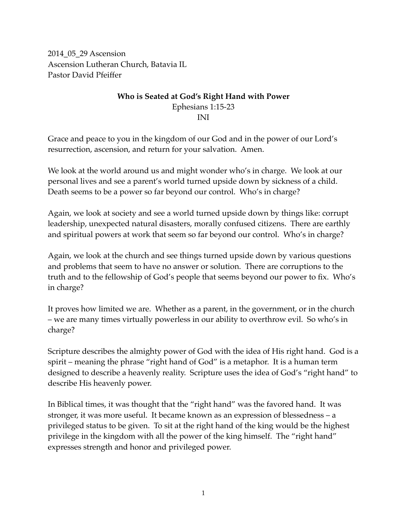2014\_05\_29 Ascension Ascension Lutheran Church, Batavia IL Pastor David Pfeiffer

### **Who is Seated at God's Right Hand with Power**  Ephesians 1:15-23 INI

Grace and peace to you in the kingdom of our God and in the power of our Lord's resurrection, ascension, and return for your salvation. Amen.

We look at the world around us and might wonder who's in charge. We look at our personal lives and see a parent's world turned upside down by sickness of a child. Death seems to be a power so far beyond our control. Who's in charge?

Again, we look at society and see a world turned upside down by things like: corrupt leadership, unexpected natural disasters, morally confused citizens. There are earthly and spiritual powers at work that seem so far beyond our control. Who's in charge?

Again, we look at the church and see things turned upside down by various questions and problems that seem to have no answer or solution. There are corruptions to the truth and to the fellowship of God's people that seems beyond our power to fix. Who's in charge?

It proves how limited we are. Whether as a parent, in the government, or in the church – we are many times virtually powerless in our ability to overthrow evil. So who's in charge?

Scripture describes the almighty power of God with the idea of His right hand. God is a spirit – meaning the phrase "right hand of God" is a metaphor. It is a human term designed to describe a heavenly reality. Scripture uses the idea of God's "right hand" to describe His heavenly power.

In Biblical times, it was thought that the "right hand" was the favored hand. It was stronger, it was more useful. It became known as an expression of blessedness – a privileged status to be given. To sit at the right hand of the king would be the highest privilege in the kingdom with all the power of the king himself. The "right hand" expresses strength and honor and privileged power.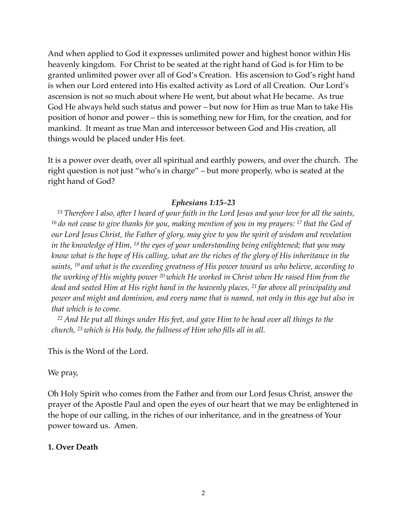And when applied to God it expresses unlimited power and highest honor within His heavenly kingdom. For Christ to be seated at the right hand of God is for Him to be granted unlimited power over all of God's Creation. His ascension to God's right hand is when our Lord entered into His exalted activity as Lord of all Creation. Our Lord's ascension is not so much about where He went, but about what He became. As true God He always held such status and power – but now for Him as true Man to take His position of honor and power – this is something new for Him, for the creation, and for mankind. It meant as true Man and intercessor between God and His creation, all things would be placed under His feet.

It is a power over death, over all spiritual and earthly powers, and over the church. The right question is not just "who's in charge" – but more properly, who is seated at the right hand of God?

### *Ephesians 1:15–23*

*<sup>15</sup> Therefore I also, after I heard of your faith in the Lord Jesus and your love for all the saints, <sup>16</sup> do not cease to give thanks for you, making mention of you in my prayers: 17 that the God of our Lord Jesus Christ, the Father of glory, may give to you the spirit of wisdom and revelation in the knowledge of Him, 18 the eyes of your understanding being enlightened; that you may know what is the hope of His calling, what are the riches of the glory of His inheritance in the saints, 19 and what is the exceeding greatness of His power toward us who believe, according to the working of His mighty power 20 which He worked in Christ when He raised Him from the dead and seated Him at His right hand in the heavenly places, 21 far above all principality and power and might and dominion, and every name that is named, not only in this age but also in that which is to come.*

*<sup>22</sup> And He put all things under His feet, and gave Him to be head over all things to the church, 23 which is His body, the fullness of Him who fills all in all.*

This is the Word of the Lord.

We pray,

Oh Holy Spirit who comes from the Father and from our Lord Jesus Christ, answer the prayer of the Apostle Paul and open the eyes of our heart that we may be enlightened in the hope of our calling, in the riches of our inheritance, and in the greatness of Your power toward us. Amen.

#### **1. Over Death**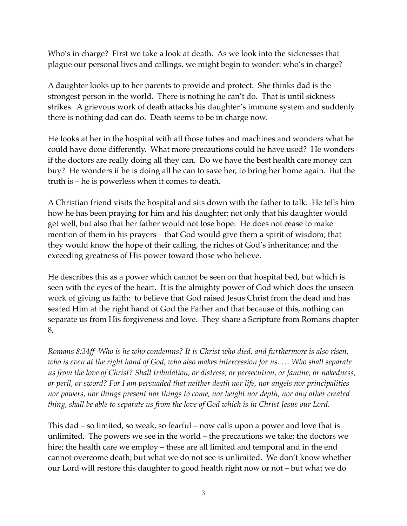Who's in charge? First we take a look at death. As we look into the sicknesses that plague our personal lives and callings, we might begin to wonder: who's in charge?

A daughter looks up to her parents to provide and protect. She thinks dad is the strongest person in the world. There is nothing he can't do. That is until sickness strikes. A grievous work of death attacks his daughter's immune system and suddenly there is nothing dad can do. Death seems to be in charge now.

He looks at her in the hospital with all those tubes and machines and wonders what he could have done differently. What more precautions could he have used? He wonders if the doctors are really doing all they can. Do we have the best health care money can buy? He wonders if he is doing all he can to save her, to bring her home again. But the truth is – he is powerless when it comes to death.

A Christian friend visits the hospital and sits down with the father to talk. He tells him how he has been praying for him and his daughter; not only that his daughter would get well, but also that her father would not lose hope. He does not cease to make mention of them in his prayers – that God would give them a spirit of wisdom; that they would know the hope of their calling, the riches of God's inheritance; and the exceeding greatness of His power toward those who believe.

He describes this as a power which cannot be seen on that hospital bed, but which is seen with the eyes of the heart. It is the almighty power of God which does the unseen work of giving us faith: to believe that God raised Jesus Christ from the dead and has seated Him at the right hand of God the Father and that because of this, nothing can separate us from His forgiveness and love. They share a Scripture from Romans chapter 8,

*Romans 8:34ff Who is he who condemns? It is Christ who died, and furthermore is also risen, who is even at the right hand of God, who also makes intercession for us. … Who shall separate us from the love of Christ? Shall tribulation, or distress, or persecution, or famine, or nakedness, or peril, or sword? For I am persuaded that neither death nor life, nor angels nor principalities nor powers, nor things present nor things to come, nor height nor depth, nor any other created thing, shall be able to separate us from the love of God which is in Christ Jesus our Lord.* 

This dad – so limited, so weak, so fearful – now calls upon a power and love that is unlimited. The powers we see in the world – the precautions we take; the doctors we hire; the health care we employ – these are all limited and temporal and in the end cannot overcome death; but what we do not see is unlimited. We don't know whether our Lord will restore this daughter to good health right now or not – but what we do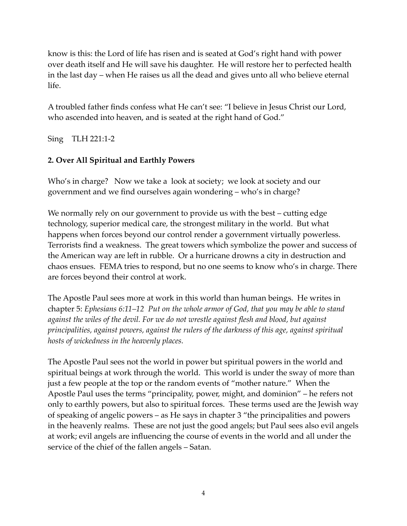know is this: the Lord of life has risen and is seated at God's right hand with power over death itself and He will save his daughter. He will restore her to perfected health in the last day – when He raises us all the dead and gives unto all who believe eternal life.

A troubled father finds confess what He can't see: "I believe in Jesus Christ our Lord, who ascended into heaven, and is seated at the right hand of God."

Sing TLH 221:1-2

## **2. Over All Spiritual and Earthly Powers**

Who's in charge? Now we take a look at society; we look at society and our government and we find ourselves again wondering – who's in charge?

We normally rely on our government to provide us with the best – cutting edge technology, superior medical care, the strongest military in the world. But what happens when forces beyond our control render a government virtually powerless. Terrorists find a weakness. The great towers which symbolize the power and success of the American way are left in rubble. Or a hurricane drowns a city in destruction and chaos ensues. FEMA tries to respond, but no one seems to know who's in charge. There are forces beyond their control at work.

The Apostle Paul sees more at work in this world than human beings. He writes in chapter 5: *Ephesians 6:11–12 Put on the whole armor of God, that you may be able to stand against the wiles of the devil. For we do not wrestle against flesh and blood, but against principalities, against powers, against the rulers of the darkness of this age, against spiritual hosts of wickedness in the heavenly places.* 

The Apostle Paul sees not the world in power but spiritual powers in the world and spiritual beings at work through the world. This world is under the sway of more than just a few people at the top or the random events of "mother nature." When the Apostle Paul uses the terms "principality, power, might, and dominion" – he refers not only to earthly powers, but also to spiritual forces. These terms used are the Jewish way of speaking of angelic powers – as He says in chapter 3 "the principalities and powers in the heavenly realms. These are not just the good angels; but Paul sees also evil angels at work; evil angels are influencing the course of events in the world and all under the service of the chief of the fallen angels – Satan.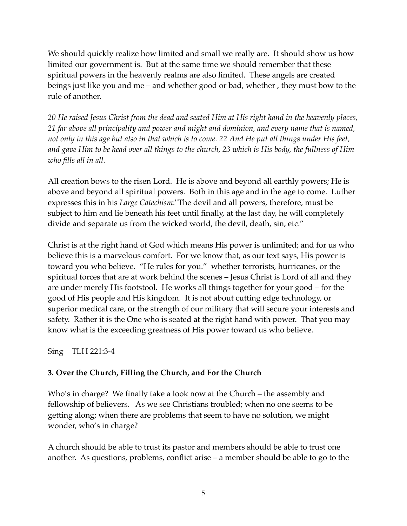We should quickly realize how limited and small we really are. It should show us how limited our government is. But at the same time we should remember that these spiritual powers in the heavenly realms are also limited. These angels are created beings just like you and me – and whether good or bad, whether , they must bow to the rule of another.

*20 He raised Jesus Christ from the dead and seated Him at His right hand in the heavenly places, 21 far above all principality and power and might and dominion, and every name that is named, not only in this age but also in that which is to come. 22 And He put all things under His feet, and gave Him to be head over all things to the church, 23 which is His body, the fullness of Him who fills all in all.*

All creation bows to the risen Lord. He is above and beyond all earthly powers; He is above and beyond all spiritual powers. Both in this age and in the age to come. Luther expresses this in his *Large Catechism*:"The devil and all powers, therefore, must be subject to him and lie beneath his feet until finally, at the last day, he will completely divide and separate us from the wicked world, the devil, death, sin, etc."

Christ is at the right hand of God which means His power is unlimited; and for us who believe this is a marvelous comfort. For we know that, as our text says, His power is toward you who believe. "He rules for you." whether terrorists, hurricanes, or the spiritual forces that are at work behind the scenes – Jesus Christ is Lord of all and they are under merely His footstool. He works all things together for your good – for the good of His people and His kingdom. It is not about cutting edge technology, or superior medical care, or the strength of our military that will secure your interests and safety. Rather it is the One who is seated at the right hand with power. That you may know what is the exceeding greatness of His power toward us who believe.

Sing TLH 221:3-4

## **3. Over the Church, Filling the Church, and For the Church**

Who's in charge? We finally take a look now at the Church – the assembly and fellowship of believers. As we see Christians troubled; when no one seems to be getting along; when there are problems that seem to have no solution, we might wonder, who's in charge?

A church should be able to trust its pastor and members should be able to trust one another. As questions, problems, conflict arise – a member should be able to go to the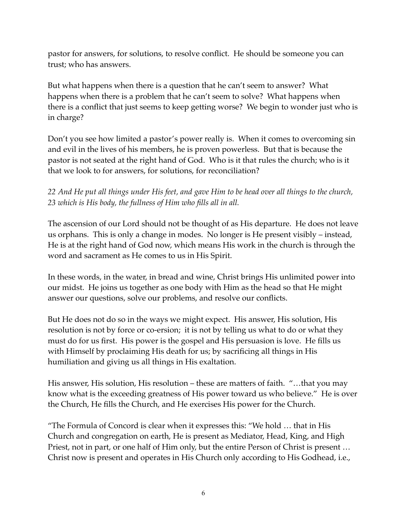pastor for answers, for solutions, to resolve conflict. He should be someone you can trust; who has answers.

But what happens when there is a question that he can't seem to answer? What happens when there is a problem that he can't seem to solve? What happens when there is a conflict that just seems to keep getting worse? We begin to wonder just who is in charge?

Don't you see how limited a pastor's power really is. When it comes to overcoming sin and evil in the lives of his members, he is proven powerless. But that is because the pastor is not seated at the right hand of God. Who is it that rules the church; who is it that we look to for answers, for solutions, for reconciliation?

# *22 And He put all things under His feet, and gave Him to be head over all things to the church, 23 which is His body, the fullness of Him who fills all in all.*

The ascension of our Lord should not be thought of as His departure. He does not leave us orphans. This is only a change in modes. No longer is He present visibly – instead, He is at the right hand of God now, which means His work in the church is through the word and sacrament as He comes to us in His Spirit.

In these words, in the water, in bread and wine, Christ brings His unlimited power into our midst. He joins us together as one body with Him as the head so that He might answer our questions, solve our problems, and resolve our conflicts.

But He does not do so in the ways we might expect. His answer, His solution, His resolution is not by force or co-ersion; it is not by telling us what to do or what they must do for us first. His power is the gospel and His persuasion is love. He fills us with Himself by proclaiming His death for us; by sacrificing all things in His humiliation and giving us all things in His exaltation.

His answer, His solution, His resolution – these are matters of faith. "…that you may know what is the exceeding greatness of His power toward us who believe." He is over the Church, He fills the Church, and He exercises His power for the Church.

"The Formula of Concord is clear when it expresses this: "We hold … that in His Church and congregation on earth, He is present as Mediator, Head, King, and High Priest, not in part, or one half of Him only, but the entire Person of Christ is present … Christ now is present and operates in His Church only according to His Godhead, i.e.,